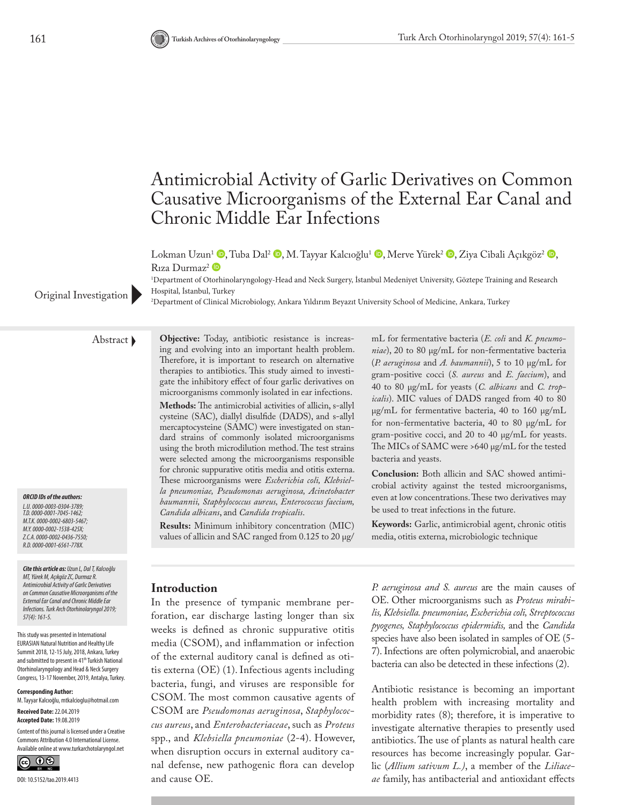# Antimicrobial Activity of Garlic Derivatives on Common Causative Microorganisms of the External Ear Canal and Chronic Middle Ear Infections

Lokma[n](http://orcid.org/0000-0001-6561-778X) Uzun<sup>1</sup> [,](http://orcid.org/0000-0002-0436-7550) Tuba Dal<sup>2</sup> [,](http://orcid.org/0000-0002-1538-425X) M. Tayyar Kalcıoğlu<sup>1</sup> , Merve Yürek<sup>2</sup> , Ziya Cibali Açıkgöz<sup>2</sup> , Rıza Durmaz<sup>2</sup>

1 Department of Otorhinolaryngology-Head and Neck Surgery, İstanbul Medeniyet University, Göztepe Training and Research Hospital, İstanbul, Turkey

Original Investigation Prosphal, Islahodi, Turkey Microbiology, Ankara Yıldırım Beyazıt University School of Medicine, Ankara, Turkey

*ORCID IDs of the authors:*

*L.U. 0000-0003-0304-3789; T.D. 0000-0001-7045-1462; M.T.K. 0000-0002-6803-5467; M.Y. 0000-0002-1538-425X; Z.C.A. 0000-0002-0436-7550; R.D. 0000-0001-6561-778X.*

*Cite this article as: Uzun L, Dal T, Kalcıoğlu MT, Yürek M, Açıkgöz ZC, Durmaz R. Antimicrobial Activity of Garlic Derivatives on Common Causative Microorganisms of the External Ear Canal and Chronic Middle Ear Infections. Turk Arch Otorhinolaryngol 2019; 57(4): 161-5.*

This study was presented in International EURASIAN Natural Nutrition and Healthy Life Summit 2018, 12-15 July, 2018, Ankara, Turkey and submitted to present in 41<sup>th</sup> Turkish National Otorhinolaryngology and Head & Neck Surgery Congress, 13-17 November, 2019, Antalya, Turkey.

#### **Corresponding Author:**

M. Tayyar Kalcıoğlu, mtkalcioglu@hotmail.com **Received Date:** 22.04.2019

**Accepted Date:** 19.08.2019 Content of this journal is licensed under a Creative

Commons Attribution 4.0 International License. Available online at www.turkarchotolaryngol.net



Abstract **Objective:** Today, antibiotic resistance is increasing and evolving into an important health problem. Therefore, it is important to research on alternative therapies to antibiotics. This study aimed to investigate the inhibitory effect of four garlic derivatives on microorganisms commonly isolated in ear infections. **Methods:** The antimicrobial activities of allicin, s-allyl cysteine (SAC), diallyl disulfide (DADS), and s-allyl mercaptocysteine (SAMC) were investigated on standard strains of commonly isolated microorganisms using the broth microdilution method. The test strains were selected among the microorganisms responsible for chronic suppurative otitis media and otitis externa. These microorganisms were *Escherichia coli, Klebsiella pneumoniae, Pseudomonas aeruginosa, Acinetobacter baumannii, Staphylococcus aureus, Enterococcus faecium, Candida albicans*, and *Candida tropicalis*.

> **Results:** Minimum inhibitory concentration (MIC) values of allicin and SAC ranged from 0.125 to 20 μg/

mL for fermentative bacteria (*E. coli* and *K. pneumoniae*), 20 to 80 μg/mL for non-fermentative bacteria (*P. aeruginosa* and *A. baumannii*), 5 to 10 μg/mL for gram-positive cocci (*S. aureus* and *E. faecium*), and 40 to 80 μg/mL for yeasts (*C. albicans* and *C. tropicalis*). MIC values of DADS ranged from 40 to 80 μg/mL for fermentative bacteria, 40 to 160 μg/mL for non-fermentative bacteria, 40 to 80 μg/mL for gram-positive cocci, and 20 to 40 μg/mL for yeasts. The MICs of SAMC were >640 μg/mL for the tested bacteria and yeasts.

**Conclusion:** Both allicin and SAC showed antimicrobial activity against the tested microorganisms, even at low concentrations. These two derivatives may be used to treat infections in the future.

**Keywords:** Garlic, antimicrobial agent, chronic otitis media, otitis externa, microbiologic technique

# **Introduction**

In the presence of tympanic membrane perforation, ear discharge lasting longer than six weeks is defined as chronic suppurative otitis media (CSOM), and inflammation or infection of the external auditory canal is defined as otitis externa (OE) (1). Infectious agents including bacteria, fungi, and viruses are responsible for CSOM. The most common causative agents of CSOM are *Pseudomonas aeruginosa*, *Staphylococcus aureus*, and *Enterobacteriaceae*, such as *Proteus* spp., and *Klebsiella pneumoniae* (2-4). However, when disruption occurs in external auditory canal defense, new pathogenic flora can develop and cause OE.

*P. aeruginosa and S. aureus* are the main causes of OE. Other microorganisms such as *Proteus mirabilis, Klebsiella. pneumoniae, Escherichia coli, Streptococcus pyogenes, Staphylococcus epidermidis,* and the *Candida*  species have also been isolated in samples of OE (5- 7). Infections are often polymicrobial, and anaerobic bacteria can also be detected in these infections (2).

Antibiotic resistance is becoming an important health problem with increasing mortality and morbidity rates (8); therefore, it is imperative to investigate alternative therapies to presently used antibiotics. The use of plants as natural health care resources has become increasingly popular. Garlic (*Allium sativum L.)*, a member of the *Liliaceae* family, has antibacterial and antioxidant effects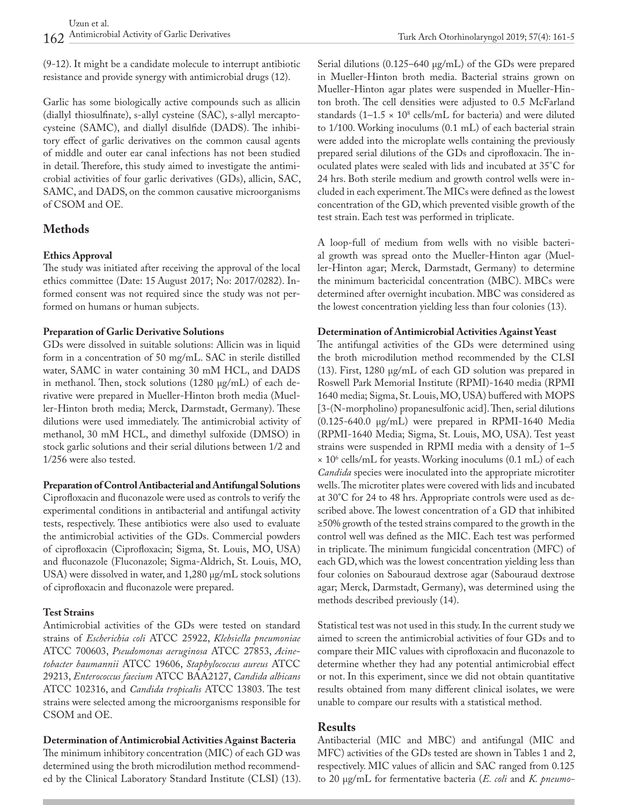(9-12). It might be a candidate molecule to interrupt antibiotic resistance and provide synergy with antimicrobial drugs (12).

Garlic has some biologically active compounds such as allicin (diallyl thiosulfinate), s-allyl cysteine (SAC), s-allyl mercaptocysteine (SAMC), and diallyl disulfide (DADS). The inhibitory effect of garlic derivatives on the common causal agents of middle and outer ear canal infections has not been studied in detail. Therefore, this study aimed to investigate the antimicrobial activities of four garlic derivatives (GDs), allicin, SAC, SAMC, and DADS, on the common causative microorganisms of CSOM and OE.

# **Methods**

### **Ethics Approval**

The study was initiated after receiving the approval of the local ethics committee (Date: 15 August 2017; No: 2017/0282). Informed consent was not required since the study was not performed on humans or human subjects.

#### **Preparation of Garlic Derivative Solutions**

GDs were dissolved in suitable solutions: Allicin was in liquid form in a concentration of 50 mg/mL. SAC in sterile distilled water, SAMC in water containing 30 mM HCL, and DADS in methanol. Then, stock solutions (1280 μg/mL) of each derivative were prepared in Mueller-Hinton broth media (Mueller-Hinton broth media; Merck, Darmstadt, Germany). These dilutions were used immediately. The antimicrobial activity of methanol, 30 mM HCL, and dimethyl sulfoxide (DMSO) in stock garlic solutions and their serial dilutions between 1/2 and 1/256 were also tested.

#### **Preparation of Control Antibacterial and Antifungal Solutions**

Ciprofloxacin and fluconazole were used as controls to verify the experimental conditions in antibacterial and antifungal activity tests, respectively. These antibiotics were also used to evaluate the antimicrobial activities of the GDs. Commercial powders of ciprofloxacin (Ciprofloxacin; Sigma, St. Louis, MO, USA) and fluconazole (Fluconazole; Sigma-Aldrich, St. Louis, MO, USA) were dissolved in water, and 1,280 μg/mL stock solutions of ciprofloxacin and fluconazole were prepared.

### **Test Strains**

Antimicrobial activities of the GDs were tested on standard strains of *Escherichia coli* ATCC 25922, *Klebsiella pneumoniae* ATCC 700603, *Pseudomonas aeruginosa* ATCC 27853, *Acinetobacter baumannii* ATCC 19606, *Staphylococcus aureus* ATCC 29213, *Enterococcus faecium* ATCC BAA2127, *Candida albicans* ATCC 102316, and *Candida tropicalis* ATCC 13803. The test strains were selected among the microorganisms responsible for CSOM and OE.

#### **Determination of Antimicrobial Activities Against Bacteria**

The minimum inhibitory concentration (MIC) of each GD was determined using the broth microdilution method recommended by the Clinical Laboratory Standard Institute (CLSI) (13). Serial dilutions (0.125–640 μg/mL) of the GDs were prepared in Mueller-Hinton broth media. Bacterial strains grown on Mueller-Hinton agar plates were suspended in Mueller-Hinton broth. The cell densities were adjusted to 0.5 McFarland standards  $(1-1.5 \times 10^8 \text{ cells/mL}$  for bacteria) and were diluted to 1/100. Working inoculums (0.1 mL) of each bacterial strain were added into the microplate wells containing the previously prepared serial dilutions of the GDs and ciprofloxacin. The inoculated plates were sealed with lids and incubated at 35°C for 24 hrs. Both sterile medium and growth control wells were included in each experiment. The MICs were defined as the lowest concentration of the GD, which prevented visible growth of the test strain. Each test was performed in triplicate.

A loop-full of medium from wells with no visible bacterial growth was spread onto the Mueller-Hinton agar (Mueller-Hinton agar; Merck, Darmstadt, Germany) to determine the minimum bactericidal concentration (MBC). MBCs were determined after overnight incubation. MBC was considered as the lowest concentration yielding less than four colonies (13).

#### **Determination of Antimicrobial Activities Against Yeast**

The antifungal activities of the GDs were determined using the broth microdilution method recommended by the CLSI (13). First, 1280 μg/mL of each GD solution was prepared in Roswell Park Memorial Institute (RPMI)-1640 media (RPMI 1640 media; Sigma, St. Louis, MO, USA) buffered with MOPS [3-(N-morpholino) propanesulfonic acid]. Then, serial dilutions (0.125-640.0 μg/mL) were prepared in RPMI-1640 Media (RPMI-1640 Media; Sigma, St. Louis, MO, USA). Test yeast strains were suspended in RPMI media with a density of 1–5 × 106 cells/mL for yeasts. Working inoculums (0.1 mL) of each *Candida* species were inoculated into the appropriate microtiter wells. The microtiter plates were covered with lids and incubated at 30°C for 24 to 48 hrs. Appropriate controls were used as described above. The lowest concentration of a GD that inhibited ≥50% growth of the tested strains compared to the growth in the control well was defined as the MIC. Each test was performed in triplicate. The minimum fungicidal concentration (MFC) of each GD, which was the lowest concentration yielding less than four colonies on Sabouraud dextrose agar (Sabouraud dextrose agar; Merck, Darmstadt, Germany), was determined using the methods described previously (14).

Statistical test was not used in this study. In the current study we aimed to screen the antimicrobial activities of four GDs and to compare their MIC values with ciprofloxacin and fluconazole to determine whether they had any potential antimicrobial effect or not. In this experiment, since we did not obtain quantitative results obtained from many different clinical isolates, we were unable to compare our results with a statistical method.

# **Results**

Antibacterial (MIC and MBC) and antifungal (MIC and MFC) activities of the GDs tested are shown in Tables 1 and 2, respectively. MIC values of allicin and SAC ranged from 0.125 to 20 μg/mL for fermentative bacteria (*E. coli* and *K. pneumo-*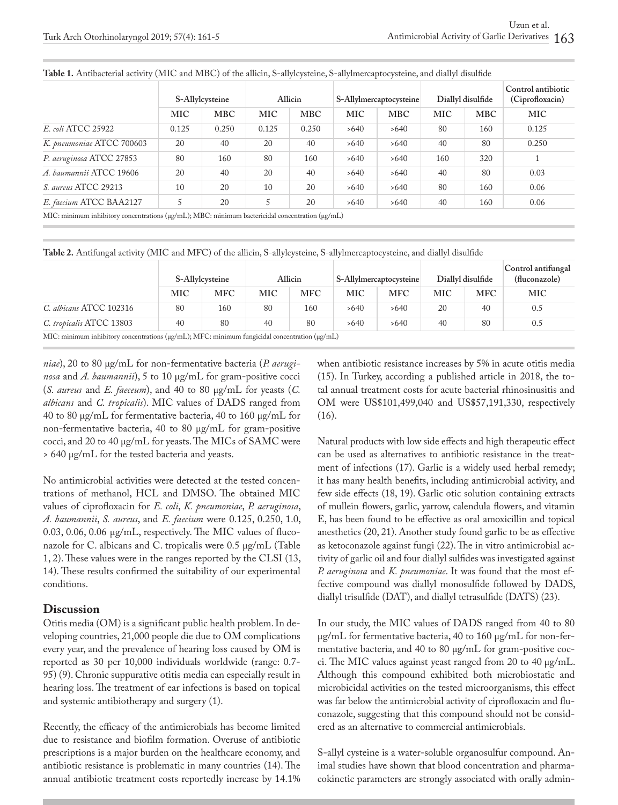|                                                                                                             | S-Allylcysteine |            | <b>Allicin</b> |            | S-Allylmercaptocysteine |            | Diallyl disulfide |            | Control antibiotic<br>(Ciprofloxacin) |
|-------------------------------------------------------------------------------------------------------------|-----------------|------------|----------------|------------|-------------------------|------------|-------------------|------------|---------------------------------------|
|                                                                                                             | MIC             | <b>MBC</b> | MIC            | <b>MBC</b> | MIC                     | <b>MBC</b> | <b>MIC</b>        | <b>MBC</b> | MIC                                   |
| E. coli ATCC 25922                                                                                          | 0.125           | 0.250      | 0.125          | 0.250      | >640                    | >640       | 80                | 160        | 0.125                                 |
| K. pneumoniae ATCC 700603                                                                                   | 20              | 40         | 20             | 40         | >640                    | >640       | 40                | 80         | 0.250                                 |
| P. aeruginosa ATCC 27853                                                                                    | 80              | 160        | 80             | 160        | >640                    | >640       | 160               | 320        |                                       |
| A. baumannii ATCC 19606                                                                                     | 20              | 40         | 20             | 40         | >640                    | >640       | 40                | 80         | 0.03                                  |
| S. aureus ATCC 29213                                                                                        | 10              | 20         | 10             | 20         | >640                    | >640       | 80                | 160        | 0.06                                  |
| E. faecium ATCC BAA2127                                                                                     |                 | 20         | 5              | 20         | >640                    | >640       | 40                | 160        | 0.06                                  |
| MIC: minimum inhibitory concentrations ( $\mu$ g/mL); MBC: minimum bactericidal concentration ( $\mu$ g/mL) |                 |            |                |            |                         |            |                   |            |                                       |

**Table 1.** Antibacterial activity (MIC and MBC) of the allicin, S-allylcysteine, S-allylmercaptocysteine, and diallyl disulfide

**Table 2.** Antifungal activity (MIC and MFC) of the allicin, S-allylcysteine, S-allylmercaptocysteine, and diallyl disulfide

|            | <b>Allicin</b> |            | <b>S-Allylmercaptocysteine</b> |            | Diallyl disulfide                                                                                                                 |            | Control antifungal<br>(fluconazole) |
|------------|----------------|------------|--------------------------------|------------|-----------------------------------------------------------------------------------------------------------------------------------|------------|-------------------------------------|
| <b>MFC</b> | MIC            | <b>MFC</b> | MIC                            | <b>MFC</b> | <b>MIC</b>                                                                                                                        | <b>MFC</b> | <b>MIC</b>                          |
| 160        | 80             | 160        | >640                           | >640       | 20                                                                                                                                | 40         | 0.5                                 |
| 80         | 40             | 80         | >640                           | >640       | 40                                                                                                                                | 80         | 0.5                                 |
|            |                |            |                                |            | MIC: minimum inhibitory concentrations ( $\mu\sigma/\text{mL}$ ): MFC: minimum fungicidal concentration ( $\mu\sigma/\text{mL}$ ) |            |                                     |

MIC: minimum inhibitory concentrations (μg/mL); MFC: minimum fungicidal concentration (μg/mL)

*niae*), 20 to 80 μg/mL for non-fermentative bacteria (*P. aeruginosa* and *A. baumannii*), 5 to 10 μg/mL for gram-positive cocci (*S. aureus* and *E. faeceum*), and 40 to 80 μg/mL for yeasts (*C. albicans* and *C. tropicalis*). MIC values of DADS ranged from 40 to 80 μg/mL for fermentative bacteria, 40 to 160 μg/mL for non-fermentative bacteria, 40 to 80 μg/mL for gram-positive cocci, and 20 to 40 μg/mL for yeasts. The MICs of SAMC were > 640 μg/mL for the tested bacteria and yeasts.

No antimicrobial activities were detected at the tested concentrations of methanol, HCL and DMSO. The obtained MIC values of ciprofloxacin for *E. coli*, *K. pneumoniae*, *P. aeruginosa*, *A. baumannii*, *S. aureus*, and *E. faecium* were 0.125, 0.250, 1.0, 0.03, 0.06, 0.06 µg/mL, respectively. The MIC values of fluconazole for C. albicans and C. tropicalis were 0.5 µg/mL (Table 1, 2). These values were in the ranges reported by the CLSI (13, 14). These results confirmed the suitability of our experimental conditions.

# **Discussion**

Otitis media (OM) is a significant public health problem. In developing countries, 21,000 people die due to OM complications every year, and the prevalence of hearing loss caused by OM is reported as 30 per 10,000 individuals worldwide (range: 0.7- 95) (9). Chronic suppurative otitis media can especially result in hearing loss. The treatment of ear infections is based on topical and systemic antibiotherapy and surgery (1).

Recently, the efficacy of the antimicrobials has become limited due to resistance and biofilm formation. Overuse of antibiotic prescriptions is a major burden on the healthcare economy, and antibiotic resistance is problematic in many countries (14). The annual antibiotic treatment costs reportedly increase by 14.1% when antibiotic resistance increases by 5% in acute otitis media (15). In Turkey, according a published article in 2018, the total annual treatment costs for acute bacterial rhinosinusitis and OM were US\$101,499,040 and US\$57,191,330, respectively (16).

Natural products with low side effects and high therapeutic effect can be used as alternatives to antibiotic resistance in the treatment of infections (17). Garlic is a widely used herbal remedy; it has many health benefits, including antimicrobial activity, and few side effects (18, 19). Garlic otic solution containing extracts of mullein flowers, garlic, yarrow, calendula flowers, and vitamin E, has been found to be effective as oral amoxicillin and topical anesthetics (20, 21). Another study found garlic to be as effective as ketoconazole against fungi (22). The in vitro antimicrobial activity of garlic oil and four diallyl sulfides was investigated against *P. aeruginosa* and *K. pneumoniae*. It was found that the most effective compound was diallyl monosulfide followed by DADS, diallyl trisulfide (DAT), and diallyl tetrasulfide (DATS) (23).

In our study, the MIC values of DADS ranged from 40 to 80 μg/mL for fermentative bacteria, 40 to 160 μg/mL for non-fermentative bacteria, and 40 to 80 μg/mL for gram-positive cocci. The MIC values against yeast ranged from 20 to 40 μg/mL. Although this compound exhibited both microbiostatic and microbicidal activities on the tested microorganisms, this effect was far below the antimicrobial activity of ciprofloxacin and fluconazole, suggesting that this compound should not be considered as an alternative to commercial antimicrobials.

S-allyl cysteine is a water-soluble organosulfur compound. Animal studies have shown that blood concentration and pharmacokinetic parameters are strongly associated with orally admin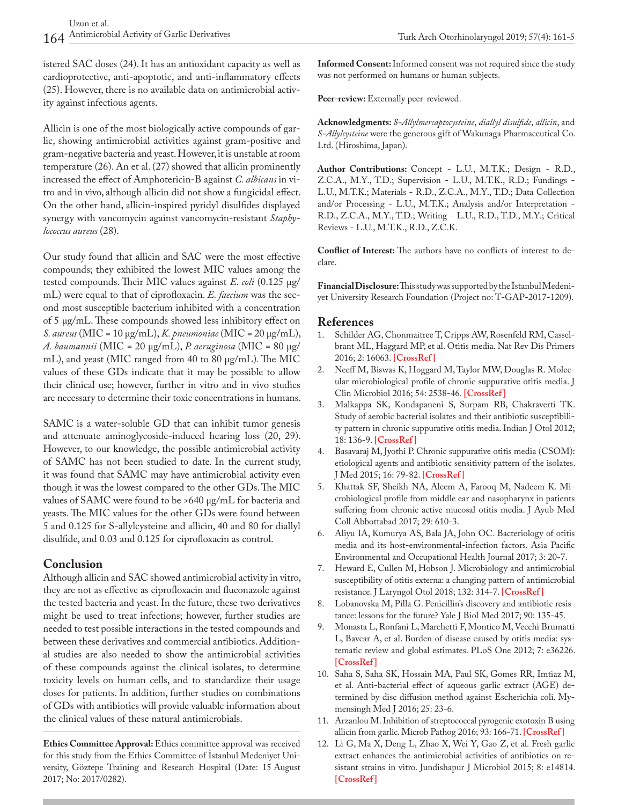istered SAC doses (24). It has an antioxidant capacity as well as cardioprotective, anti-apoptotic, and anti-inflammatory effects (25). However, there is no available data on antimicrobial activity against infectious agents.

Allicin is one of the most biologically active compounds of garlic, showing antimicrobial activities against gram-positive and gram-negative bacteria and yeast. However, it is unstable at room temperature (26). An et al. (27) showed that allicin prominently increased the effect of Amphotericin-B against *C. albicans* in vitro and in vivo, although allicin did not show a fungicidal effect. On the other hand, allicin-inspired pyridyl disulfides displayed synergy with vancomycin against vancomycin-resistant *Staphylococcus aureus* (28).

Our study found that allicin and SAC were the most effective compounds; they exhibited the lowest MIC values among the tested compounds. Their MIC values against *E. coli* (0.125 μg/ mL) were equal to that of ciprofloxacin. *E. faecium* was the second most susceptible bacterium inhibited with a concentration of 5 μg/mL. These compounds showed less inhibitory effect on *S. aureus* (MIC = 10 μg/mL), *K. pneumoniae* (MIC = 20 μg/mL), *A. baumannii* (MIC = 20 μg/mL), *P. aeruginosa* (MIC = 80 μg/ mL), and yeast (MIC ranged from 40 to 80 μg/mL). The MIC values of these GDs indicate that it may be possible to allow their clinical use; however, further in vitro and in vivo studies are necessary to determine their toxic concentrations in humans.

SAMC is a water-soluble GD that can inhibit tumor genesis and attenuate aminoglycoside-induced hearing loss (20, 29). However, to our knowledge, the possible antimicrobial activity of SAMC has not been studied to date. In the current study, it was found that SAMC may have antimicrobial activity even though it was the lowest compared to the other GDs. The MIC values of SAMC were found to be >640 μg/mL for bacteria and yeasts. The MIC values for the other GDs were found between 5 and 0.125 for S-allylcysteine and allicin, 40 and 80 for diallyl disulfide, and 0.03 and 0.125 for ciprofloxacin as control.

# **Conclusion**

Although allicin and SAC showed antimicrobial activity in vitro, they are not as effective as ciprofloxacin and fluconazole against the tested bacteria and yeast. In the future, these two derivatives might be used to treat infections; however, further studies are needed to test possible interactions in the tested compounds and between these derivatives and commercial antibiotics. Additional studies are also needed to show the antimicrobial activities of these compounds against the clinical isolates, to determine toxicity levels on human cells, and to standardize their usage doses for patients. In addition, further studies on combinations of GDs with antibiotics will provide valuable information about the clinical values of these natural antimicrobials.

**Ethics Committee Approval:** Ethics committee approval was received for this study from the Ethics Committee of İstanbul Medeniyet University, Göztepe Training and Research Hospital (Date: 15 August 2017; No: 2017/0282).

**Informed Consent:** Informed consent was not required since the study was not performed on humans or human subjects.

Peer-review: Externally peer-reviewed.

**Acknowledgments:** *S-Allylmercaptocysteine*, *diallyl disulfide*, *allicin*, and *S-Allylcysteine* were the generous gift of Wakunaga Pharmaceutical Co. Ltd. (Hiroshima, Japan).

**Author Contributions:** Concept - L.U., M.T.K.; Design - R.D., Z.C.A., M.Y., T.D.; Supervision - L.U., M.T.K., R.D.; Fundings - L.U., M.T.K.; Materials - R.D., Z.C.A., M.Y., T.D.; Data Collection and/or Processing - L.U., M.T.K.; Analysis and/or Interpretation - R.D., Z.C.A., M.Y., T.D.; Writing - L.U., R.D., T.D., M.Y.; Critical Reviews - L.U., M.T.K., R.D., Z.C.K.

**Conflict of Interest:** The authors have no conflicts of interest to declare.

**Financial Disclosure:** This study was supported by the İstanbul Medeniyet University Research Foundation (Project no: T-GAP-2017-1209).

# **References**

- 1. Schilder AG, Chonmaitree T, Cripps AW, Rosenfeld RM, Casselbrant ML, Haggard MP, et al. Otitis media. Nat Rev Dis Primers 2016; 2: 16063. **[[CrossRef](https://doi.org/10.1038/nrdp.2016.63)]**
- 2. Neeff M, Biswas K, Hoggard M, Taylor MW, Douglas R. Molecular microbiological profile of chronic suppurative otitis media. J Clin Microbiol 2016; 54: 2538-46. **[\[CrossRef\]](https://doi.org/10.1128/JCM.01068-16)**
- 3. Malkappa SK, Kondapaneni S, Surpam RB, Chakraverti TK. Study of aerobic bacterial isolates and their antibiotic susceptibility pattern in chronic suppurative otitis media. Indian J Otol 2012; 18: 136-9. **[\[CrossRef\]](https://doi.org/10.4103/0971-7749.103440)**
- 4. Basavaraj M, Jyothi P. Chronic suppurative otitis media (CSOM): etiological agents and antibiotic sensitivity pattern of the isolates. J Med 2015; 16: 79-82. **[\[CrossRef\]](https://doi.org/10.3329/jom.v16i2.25431)**
- 5. Khattak SF, Sheikh NA, Aleem A, Farooq M, Nadeem K. Microbiological profile from middle ear and nasopharynx in patients suffering from chronic active mucosal otitis media. J Ayub Med Coll Abbottabad 2017; 29: 610-3.
- 6. Aliyu IA, Kumurya AS, Bala JA, John OC. Bacteriology of otitis media and its host-environmental-infection factors. Asia Pacific Environmental and Occupational Health Journal 2017; 3: 20-7.
- 7. Heward E, Cullen M, Hobson J. Microbiology and antimicrobial susceptibility of otitis externa: a changing pattern of antimicrobial resistance. J Laryngol Otol 2018; 132: 314-7. **[[CrossRef](https://doi.org/10.1017/S0022215118000191)]**
- 8. Lobanovska M, Pilla G. Penicillin's discovery and antibiotic resistance: lessons for the future? Yale J Biol Med 2017; 90: 135-45.
- 9. Monasta L, Ronfani L, Marchetti F, Montico M, Vecchi Brumatti L, Bavcar A, et al. Burden of disease caused by otitis media: systematic review and global estimates. PLoS One 2012; 7: e36226. **[\[CrossRef\]](https://doi.org/10.1371/journal.pone.0036226)**
- 10. Saha S, Saha SK, Hossain MA, Paul SK, Gomes RR, Imtiaz M, et al. Anti-bacterial effect of aqueous garlic extract (AGE) determined by disc diffusion method against Escherichia coli. Mymensingh Med J 2016; 25: 23-6.
- 11. Arzanlou M. Inhibition of streptococcal pyrogenic exotoxin B using allicin from garlic. Microb Pathog 2016; 93: 166-71. **[\[CrossRef\]](https://doi.org/10.1016/j.micpath.2016.02.010)**
- 12. Li G, Ma X, Deng L, Zhao X, Wei Y, Gao Z, et al. Fresh garlic extract enhances the antimicrobial activities of antibiotics on resistant strains in vitro. Jundishapur J Microbiol 2015; 8: e14814. **[\[CrossRef\]](https://doi.org/10.5812/jjm.14814)**